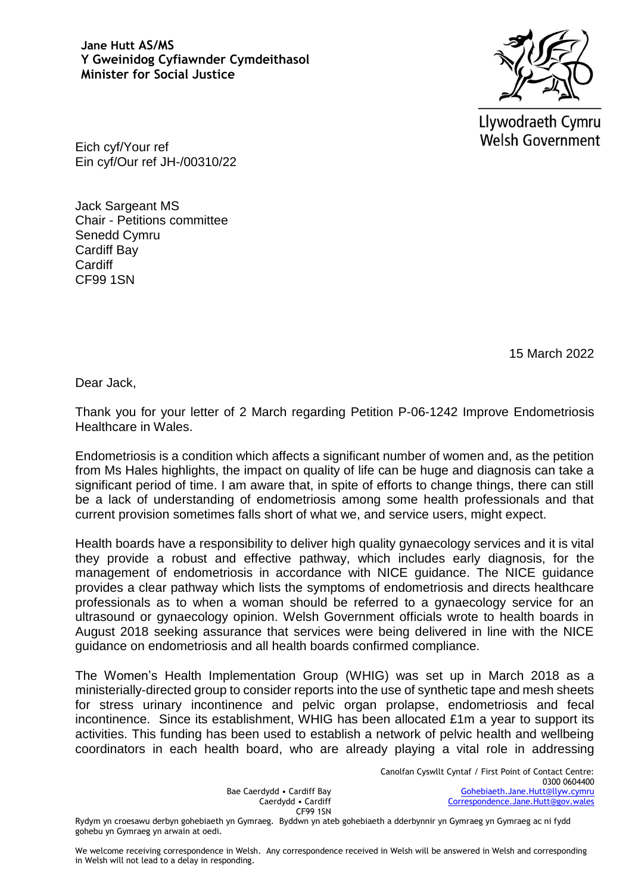**Jane Hutt AS/MS Y Gweinidog Cyfiawnder Cymdeithasol Minister for Social Justice**



Llywodraeth Cymru **Welsh Government** 

Eich cyf/Your ref Ein cyf/Our ref JH-/00310/22

Jack Sargeant MS Chair - Petitions committee Senedd Cymru Cardiff Bay **Cardiff** CF99 1SN

15 March 2022

Dear Jack,

Thank you for your letter of 2 March regarding Petition P-06-1242 Improve Endometriosis Healthcare in Wales.

Endometriosis is a condition which affects a significant number of women and, as the petition from Ms Hales highlights, the impact on quality of life can be huge and diagnosis can take a significant period of time. I am aware that, in spite of efforts to change things, there can still be a lack of understanding of endometriosis among some health professionals and that current provision sometimes falls short of what we, and service users, might expect.

Health boards have a responsibility to deliver high quality gynaecology services and it is vital they provide a robust and effective pathway, which includes early diagnosis, for the management of endometriosis in accordance with NICE guidance. The NICE guidance provides a clear pathway which lists the symptoms of endometriosis and directs healthcare professionals as to when a woman should be referred to a gynaecology service for an ultrasound or gynaecology opinion. Welsh Government officials wrote to health boards in August 2018 seeking assurance that services were being delivered in line with the NICE guidance on endometriosis and all health boards confirmed compliance.

The Women's Health Implementation Group (WHIG) was set up in March 2018 as a ministerially-directed group to consider reports into the use of synthetic tape and mesh sheets for stress urinary incontinence and pelvic organ prolapse, endometriosis and fecal incontinence. Since its establishment, WHIG has been allocated £1m a year to support its activities. This funding has been used to establish a network of pelvic health and wellbeing coordinators in each health board, who are already playing a vital role in addressing

Bae Caerdydd • Cardiff Bay Caerdydd • Cardiff CF99 1SN

Rydym yn croesawu derbyn gohebiaeth yn Gymraeg. Byddwn yn ateb gohebiaeth a dderbynnir yn Gymraeg yn Gymraeg ac ni fydd gohebu yn Gymraeg yn arwain at oedi.